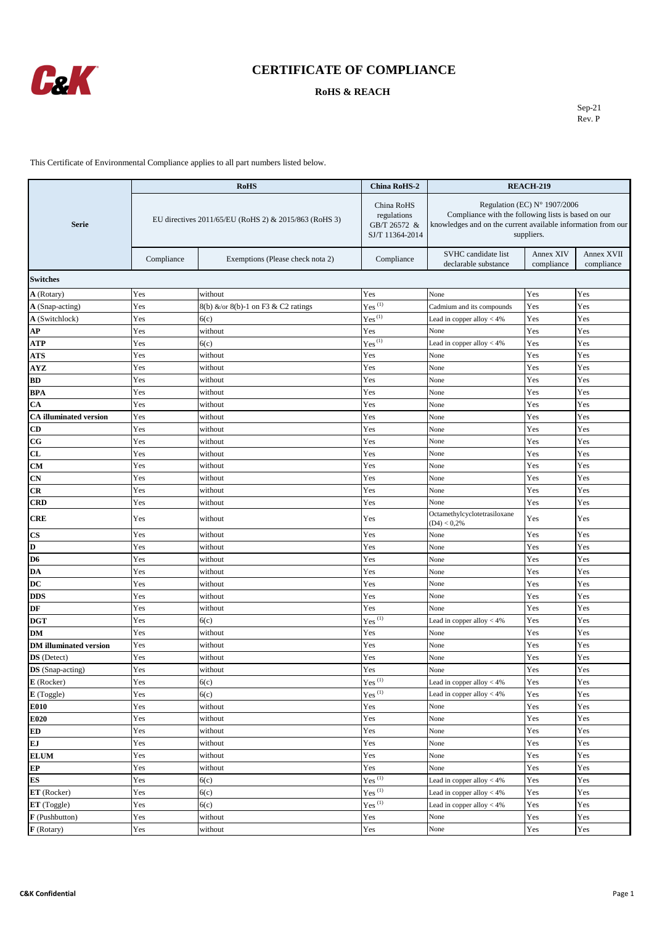

#### **RoHS & REACH**

Sep-21 Rev. P

|                               | <b>RoHS</b><br><b>China RoHS-2</b>                    |                                     |                                                                                       | <b>REACH-219</b>                                                                                                                                                  |                         |                          |
|-------------------------------|-------------------------------------------------------|-------------------------------------|---------------------------------------------------------------------------------------|-------------------------------------------------------------------------------------------------------------------------------------------------------------------|-------------------------|--------------------------|
| <b>Serie</b>                  | EU directives 2011/65/EU (RoHS 2) & 2015/863 (RoHS 3) |                                     | China RoHS<br>regulations<br>GB/T 26572 &<br>SJ/T 11364-2014                          | Regulation (EC) N° 1907/2006<br>Compliance with the following lists is based on our<br>knowledges and on the current available information from our<br>suppliers. |                         |                          |
|                               | Compliance                                            | Exemptions (Please check nota 2)    | Compliance                                                                            | SVHC candidate list<br>declarable substance                                                                                                                       | Annex XIV<br>compliance | Annex XVII<br>compliance |
| <b>Switches</b>               |                                                       |                                     |                                                                                       |                                                                                                                                                                   |                         |                          |
| <b>A</b> (Rotary)             | Yes                                                   | without                             | Yes                                                                                   | None                                                                                                                                                              | Yes                     | Yes                      |
| A (Snap-acting)               | Yes                                                   | 8(b) &/or 8(b)-1 on F3 & C2 ratings | $Yes$ <sup>(1)</sup>                                                                  | Cadmium and its compounds                                                                                                                                         | Yes                     | Yes                      |
| A (Switchlock)                | Yes                                                   | 6(c)                                | $Yes^{(1)}$                                                                           | Lead in copper alloy < 4%                                                                                                                                         | Yes                     | Yes                      |
| AР                            | Yes                                                   | without                             | Yes                                                                                   | None                                                                                                                                                              | Yes                     | Yes                      |
| ATP                           | Yes                                                   | 6(c)                                | $Yes^{(1)}$                                                                           | Lead in copper alloy $<$ 4%                                                                                                                                       | Yes                     | Yes                      |
| ATS                           | Yes                                                   | without                             | Yes                                                                                   | None                                                                                                                                                              | Yes                     | Yes                      |
| AYZ                           | Yes                                                   | without                             | Yes                                                                                   | None                                                                                                                                                              | Yes                     | Yes                      |
| BD                            | Yes                                                   | without                             | Yes                                                                                   | None                                                                                                                                                              | Yes                     | Yes                      |
| BPA                           | Yes                                                   | without                             | Yes                                                                                   | None                                                                                                                                                              | Yes                     | Yes                      |
| СA                            | Yes                                                   | without                             | Yes                                                                                   | None                                                                                                                                                              | Yes                     | Yes                      |
| <b>CA</b> illuminated version | Yes                                                   | without                             | Yes                                                                                   | None                                                                                                                                                              | Yes                     | Yes                      |
| CD                            | Yes                                                   | without                             | Yes                                                                                   | None                                                                                                                                                              | Yes                     | Yes                      |
| $_{\rm CG}$                   | Yes                                                   | without                             | Yes                                                                                   | None                                                                                                                                                              | Yes                     | Yes                      |
| CL                            | Yes                                                   | without                             | Yes                                                                                   | None                                                                                                                                                              | Yes                     | Yes                      |
| CМ                            | Yes                                                   | without                             | Yes                                                                                   | None                                                                                                                                                              | Yes                     | Yes                      |
| CN                            | Yes                                                   | without                             | Yes                                                                                   | None                                                                                                                                                              | Yes                     | Yes                      |
| CR                            | Yes                                                   | without                             | Yes                                                                                   | None                                                                                                                                                              | Yes                     | Yes                      |
| CRD                           | Yes                                                   | without                             | Yes                                                                                   | None                                                                                                                                                              | Yes                     | Yes                      |
| CRE                           | Yes                                                   | without                             | Yes                                                                                   | Octamethylcyclotetrasiloxane<br>$(D4) < 0.2\%$                                                                                                                    | Yes                     | Yes                      |
| CS                            | Yes                                                   | without                             | Yes                                                                                   | None                                                                                                                                                              | Yes                     | Yes                      |
| D                             | Yes                                                   | without                             | Yes                                                                                   | None                                                                                                                                                              | Yes                     | Yes                      |
| D6                            | Yes                                                   | without                             | Yes                                                                                   | None                                                                                                                                                              | Yes                     | Yes                      |
| DA                            | Yes                                                   | without                             | Yes                                                                                   | None                                                                                                                                                              | Yes                     | Yes                      |
| DC                            | Yes                                                   | without                             | Yes                                                                                   | None                                                                                                                                                              | Yes                     | Yes                      |
| <b>DDS</b>                    | Yes                                                   | without                             | Yes                                                                                   | None                                                                                                                                                              | Yes                     | Yes                      |
| DF                            | Yes                                                   | without                             | Yes                                                                                   | None                                                                                                                                                              | Yes                     | Yes                      |
| DGT                           | Yes                                                   | 6(c)                                | $Yes$ <sup>(1)</sup>                                                                  | Lead in copper alloy < 4%                                                                                                                                         | Yes                     | Yes                      |
| DМ                            | Yes                                                   | without                             | Yes                                                                                   | None                                                                                                                                                              | Yes                     | Yes                      |
| <b>DM</b> illuminated version | Yes                                                   | without                             | Yes                                                                                   | None                                                                                                                                                              | Yes                     | Yes                      |
| <b>DS</b> (Detect)            | Yes                                                   | without                             | Yes                                                                                   | None                                                                                                                                                              | Yes                     | Yes                      |
| DS (Snap-acting)              | Yes                                                   | without                             | Yes                                                                                   | None                                                                                                                                                              | Yes                     | Yes                      |
| E (Rocker)                    | Yes                                                   | 6(c)                                | $\mathrm{Yes}^{(1)}$                                                                  | Lead in copper alloy $<$ 4%                                                                                                                                       | Yes                     | Yes                      |
| E (Toggle)                    | Yes                                                   | 6(c)                                | $Yes$ <sup>(1)</sup>                                                                  | Lead in copper alloy $<$ 4%                                                                                                                                       | Yes                     | Yes                      |
| E010                          | Yes                                                   | without                             | Yes                                                                                   | None                                                                                                                                                              | Yes                     | Yes                      |
| E020                          | Yes                                                   | without                             | Yes                                                                                   | None                                                                                                                                                              | Yes                     | Yes                      |
| ED                            | Yes                                                   | without                             | Yes                                                                                   | None                                                                                                                                                              | Yes                     | Yes                      |
| EJ                            | Yes                                                   | without                             | Yes                                                                                   | None                                                                                                                                                              | Yes                     | Yes                      |
| <b>ELUM</b>                   | Yes                                                   | without                             | Yes                                                                                   | None                                                                                                                                                              | Yes                     | Yes                      |
| EP                            | Yes                                                   | without                             | Yes                                                                                   | None                                                                                                                                                              | Yes                     | Yes                      |
| <b>ES</b>                     | Yes                                                   | 6(c)                                | $Yes$ <sup>(1)</sup>                                                                  | Lead in copper alloy < 4%                                                                                                                                         | Yes                     | Yes                      |
| ET (Rocker)                   | Yes                                                   | 6(c)                                | $Yes$ <sup>(1)</sup>                                                                  | Lead in copper alloy $<$ 4%                                                                                                                                       | Yes                     | Yes                      |
| ET (Toggle)                   | Yes                                                   | 6(c)                                | $Yes$ <sup>(1)</sup>                                                                  | Lead in copper alloy $<$ 4%                                                                                                                                       | Yes                     | Yes                      |
| F (Pushbutton)                | Yes                                                   | without                             | Yes                                                                                   | None                                                                                                                                                              | Yes                     | Yes                      |
| F (Rotary)                    | Yes                                                   | without                             | $\operatorname*{Yes}% \left( X\right) \equiv\operatorname*{Yes}(\mathbb{R}^{3}\left)$ | None                                                                                                                                                              | Yes                     | Yes                      |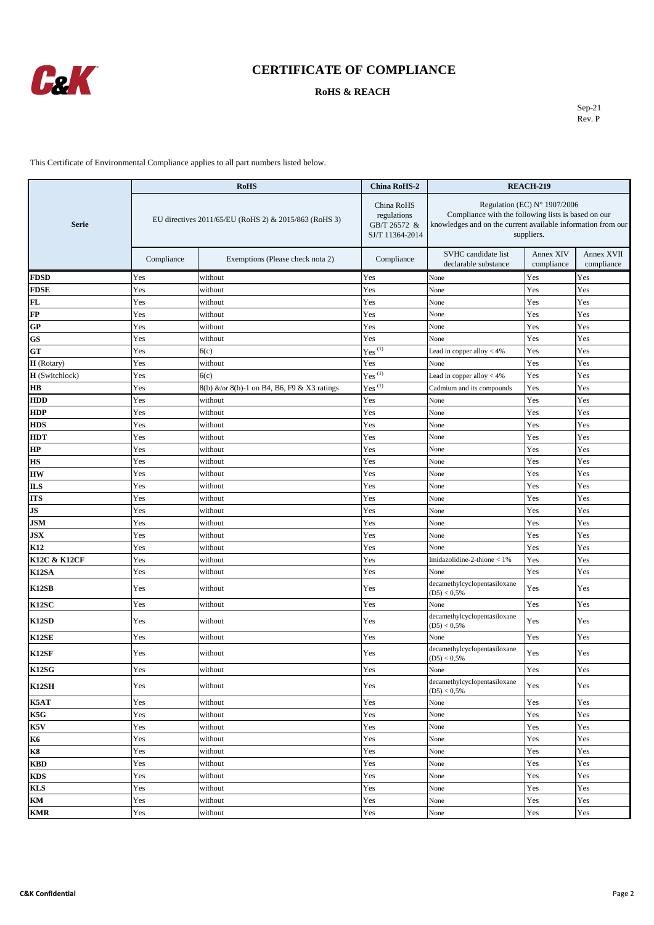

### **RoHS & REACH**

Sep-21 Rev. P

|                        | <b>RoHS</b>                                           |                                             | <b>China RoHS-2</b>                                          | <b>REACH-219</b>                                                                                                                                                           |                         |                          |
|------------------------|-------------------------------------------------------|---------------------------------------------|--------------------------------------------------------------|----------------------------------------------------------------------------------------------------------------------------------------------------------------------------|-------------------------|--------------------------|
| <b>Serie</b>           | EU directives 2011/65/EU (RoHS 2) & 2015/863 (RoHS 3) |                                             | China RoHS<br>regulations<br>GB/T 26572 &<br>SJ/T 11364-2014 | Regulation (EC) $N^{\circ}$ 1907/2006<br>Compliance with the following lists is based on our<br>knowledges and on the current available information from our<br>suppliers. |                         |                          |
|                        | Compliance                                            | Exemptions (Please check nota 2)            | Compliance                                                   | SVHC candidate list<br>declarable substance                                                                                                                                | Annex XIV<br>compliance | Annex XVII<br>compliance |
| <b>FDSD</b>            | Yes                                                   | without                                     | Yes                                                          | None                                                                                                                                                                       | Yes                     | Yes                      |
| <b>FDSE</b>            | Yes                                                   | without                                     | Yes                                                          | None                                                                                                                                                                       | Yes                     | Yes                      |
| FL                     | Yes                                                   | without                                     | Yes                                                          | None                                                                                                                                                                       | Yes                     | Yes                      |
| FP                     | Yes                                                   | without                                     | Yes                                                          | None                                                                                                                                                                       | Yes                     | Yes                      |
| <b>GP</b>              | Yes                                                   | without                                     | Yes                                                          | None                                                                                                                                                                       | Yes                     | Yes                      |
| GS                     | Yes                                                   | without                                     | Yes                                                          | None                                                                                                                                                                       | Yes                     | Yes                      |
| <b>GT</b>              | Yes                                                   | 6(c)                                        | $Yes^{(1)}$                                                  | Lead in copper alloy < 4%                                                                                                                                                  | Yes                     | Yes                      |
| H (Rotary)             | Yes                                                   | without                                     | Yes                                                          | None                                                                                                                                                                       | Yes                     | Yes                      |
| <b>H</b> (Switchlock)  | Yes                                                   | 6(c)                                        | $Yes^{(1)}$                                                  | Lead in copper alloy $<$ 4%                                                                                                                                                | Yes                     | Yes                      |
| <b>HB</b>              | Yes                                                   | 8(b) &/or 8(b)-1 on B4, B6, F9 & X3 ratings | $Yes^{(1)}$                                                  | Cadmium and its compounds                                                                                                                                                  | Yes                     | Yes                      |
| <b>HDD</b>             | Yes                                                   | without                                     | Yes                                                          | None                                                                                                                                                                       | Yes                     | Yes                      |
| <b>HDP</b>             | Yes                                                   | without                                     | Yes                                                          | None                                                                                                                                                                       | Yes                     | Yes                      |
| <b>HDS</b>             | Yes                                                   | without                                     | Yes                                                          | None                                                                                                                                                                       | Yes                     | Yes                      |
| <b>HDT</b>             | Yes                                                   | without                                     | Yes                                                          | None                                                                                                                                                                       | Yes                     | Yes                      |
| HP                     | Yes                                                   | without                                     | Yes                                                          | None                                                                                                                                                                       | Yes                     | Yes                      |
| HS                     | Yes                                                   | without                                     | Yes                                                          | None                                                                                                                                                                       | Yes                     | Yes                      |
| <b>HW</b>              | Yes                                                   | without                                     | Yes                                                          | None                                                                                                                                                                       | Yes                     | Yes                      |
| <b>ILS</b>             | Yes                                                   | without                                     | Yes                                                          | None                                                                                                                                                                       | Yes                     | Yes                      |
| <b>ITS</b>             | Yes                                                   | without                                     | Yes                                                          | None                                                                                                                                                                       | Yes                     | Yes                      |
| JS                     | Yes                                                   | without                                     | Yes                                                          | None                                                                                                                                                                       | Yes                     | Yes                      |
| <b>JSM</b>             | Yes                                                   | without                                     | Yes                                                          | None                                                                                                                                                                       | Yes                     | Yes                      |
| <b>JSX</b>             | Yes                                                   | without                                     | Yes                                                          | None                                                                                                                                                                       | Yes                     | Yes                      |
| K12                    | Yes                                                   | without                                     | Yes                                                          | None                                                                                                                                                                       | Yes                     | Yes                      |
| K12C & K12CF           | Yes                                                   | without                                     | Yes                                                          | Imidazolidine-2-thione < 1%                                                                                                                                                | Yes                     | Yes                      |
| K12SA                  | Yes                                                   | without                                     | Yes                                                          | None                                                                                                                                                                       | Yes                     | Yes                      |
| <b>K12SB</b>           | Yes                                                   | without                                     | Yes                                                          | decamethylcyclopentasiloxane<br>$(D5) < 0.5\%$                                                                                                                             | Yes                     | Yes                      |
| K12SC                  | Yes                                                   | without                                     | Yes                                                          | None                                                                                                                                                                       | Yes                     | Yes                      |
| <b>K12SD</b>           | Yes                                                   | without                                     | Yes                                                          | decamethylcyclopentasiloxane<br>$(D5) < 0.5\%$                                                                                                                             | Yes                     | Yes                      |
| K12SE                  | Yes                                                   | without                                     | Yes                                                          | None                                                                                                                                                                       | Yes                     | Yes                      |
| K12SF                  | Yes                                                   | without                                     | Yes                                                          | decamethylcyclopentasiloxane<br>$(D5) < 0.5\%$                                                                                                                             | Yes                     | Yes                      |
| K12SG                  | Yes                                                   | without                                     | Yes                                                          | None                                                                                                                                                                       | $\operatorname{Yes}$    | Yes                      |
| K12SH                  | Yes                                                   | without                                     | Yes                                                          | decamethylcyclopentasiloxane<br>$(D5) < 0.5\%$                                                                                                                             | Yes                     | Yes                      |
| K5AT                   | Yes                                                   | without                                     | Yes                                                          | None                                                                                                                                                                       | Yes                     | Yes                      |
| K5G                    | Yes                                                   | without                                     | Yes                                                          | None                                                                                                                                                                       | Yes                     | Yes                      |
| K5V                    | Yes                                                   | without                                     | Yes                                                          | None                                                                                                                                                                       | Yes                     | Yes                      |
| $\overline{\text{K6}}$ | Yes                                                   | without                                     | Yes                                                          | None                                                                                                                                                                       | Yes                     | Yes                      |
| K8                     | $\operatorname{Yes}$                                  | without                                     | Yes                                                          | None                                                                                                                                                                       | Yes                     | Yes                      |
| <b>KBD</b>             | Yes                                                   | without                                     | Yes                                                          | None                                                                                                                                                                       | Yes                     | Yes                      |
| <b>KDS</b>             | Yes                                                   | without                                     | Yes                                                          | None                                                                                                                                                                       | Yes                     | Yes                      |
| <b>KLS</b>             | Yes                                                   | without                                     | Yes                                                          | None                                                                                                                                                                       | Yes                     | Yes                      |
| KM                     | Yes                                                   | without                                     | Yes                                                          | None                                                                                                                                                                       | Yes                     | Yes                      |
| <b>KMR</b>             | Yes                                                   | without                                     | Yes                                                          | None                                                                                                                                                                       | Yes                     | Yes                      |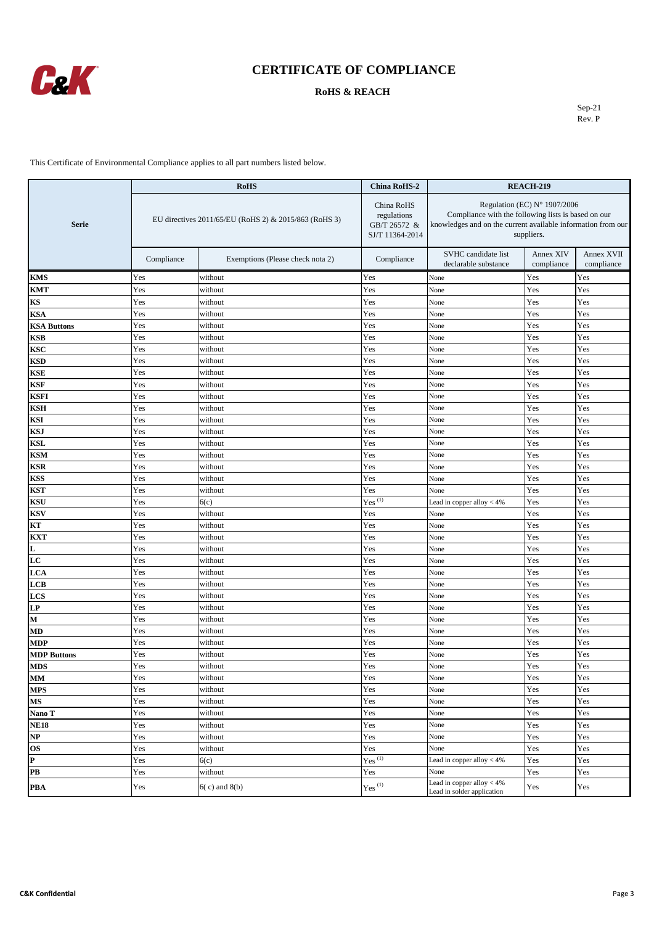

### **RoHS & REACH**

Sep-21 Rev. P

|                        |                                                       | <b>RoHS</b>                      | <b>China RoHS-2</b>                                          | <b>REACH-219</b>                                                                                                                                                  |                         |                          |
|------------------------|-------------------------------------------------------|----------------------------------|--------------------------------------------------------------|-------------------------------------------------------------------------------------------------------------------------------------------------------------------|-------------------------|--------------------------|
| <b>Serie</b>           | EU directives 2011/65/EU (RoHS 2) & 2015/863 (RoHS 3) |                                  | China RoHS<br>regulations<br>GB/T 26572 &<br>SJ/T 11364-2014 | Regulation (EC) N° 1907/2006<br>Compliance with the following lists is based on our<br>knowledges and on the current available information from our<br>suppliers. |                         |                          |
|                        | Compliance                                            | Exemptions (Please check nota 2) | Compliance                                                   | SVHC candidate list<br>declarable substance                                                                                                                       | Annex XIV<br>compliance | Annex XVII<br>compliance |
| KMS                    | Yes                                                   | without                          | Yes                                                          | None                                                                                                                                                              | Yes                     | Yes                      |
| KMT                    | Yes                                                   | without                          | Yes                                                          | None                                                                                                                                                              | Yes                     | Yes                      |
| KS                     | Yes                                                   | without                          | Yes                                                          | None                                                                                                                                                              | Yes                     | Yes                      |
| KSA                    | Yes                                                   | without                          | Yes                                                          | None                                                                                                                                                              | Yes                     | Yes                      |
| <b>KSA Buttons</b>     | Yes                                                   | without                          | Yes                                                          | None                                                                                                                                                              | Yes                     | Yes                      |
| KSB                    | Yes                                                   | without                          | Yes                                                          | None                                                                                                                                                              | Yes                     | Yes                      |
| KSC                    | Yes                                                   | without                          | Yes                                                          | None                                                                                                                                                              | Yes                     | Yes                      |
| KSD                    | Yes                                                   | without                          | Yes                                                          | None                                                                                                                                                              | Yes                     | Yes                      |
| KSE                    | Yes                                                   | without                          | Yes                                                          | None                                                                                                                                                              | Yes                     | Yes                      |
| KSF                    | Yes                                                   | without                          | Yes                                                          | None                                                                                                                                                              | Yes                     | Yes                      |
| KSFI                   | Yes                                                   | without                          | Yes                                                          | None                                                                                                                                                              | Yes                     | Yes                      |
| KSH                    | Yes                                                   | without                          | Yes                                                          | None                                                                                                                                                              | Yes                     | Yes                      |
| KSI                    | Yes                                                   | without                          | Yes                                                          | None                                                                                                                                                              | Yes                     | Yes                      |
| KSJ                    | Yes                                                   | without                          | Yes                                                          | None                                                                                                                                                              | Yes                     | Yes                      |
| KSL                    | Yes                                                   | without                          | Yes                                                          | None                                                                                                                                                              | Yes                     | Yes                      |
| KSM                    | Yes                                                   | without                          | Yes                                                          | None                                                                                                                                                              | Yes                     | Yes                      |
| KSR                    | Yes                                                   | without                          | Yes                                                          | None                                                                                                                                                              | Yes                     | Yes                      |
| KSS                    | Yes                                                   | without                          | Yes                                                          | None                                                                                                                                                              | Yes                     | Yes                      |
| KST                    | Yes                                                   | without                          | Yes                                                          | None                                                                                                                                                              | Yes                     | Yes                      |
| KSU                    | Yes                                                   | 6(c)                             | $Yes^{\overline{(1)}}$                                       | Lead in copper alloy $<$ 4%                                                                                                                                       | Yes                     | Yes                      |
| KSV                    | Yes                                                   | without                          | Yes                                                          | None                                                                                                                                                              | Yes                     | Yes                      |
| KТ                     | Yes                                                   | without                          | Yes                                                          | None                                                                                                                                                              | Yes                     | Yes                      |
| KXT                    | Yes                                                   | without                          | Yes                                                          | None                                                                                                                                                              | Yes                     | Yes                      |
| L                      | Yes                                                   | without                          | Yes                                                          | None                                                                                                                                                              | Yes                     | Yes                      |
| LC                     | Yes                                                   | without                          | Yes                                                          | None                                                                                                                                                              | Yes                     | Yes                      |
| LCA                    | Yes                                                   | without                          | Yes                                                          | None                                                                                                                                                              | Yes                     | Yes                      |
| LCB                    | Yes                                                   | without                          | Yes                                                          | None                                                                                                                                                              | Yes                     | Yes                      |
| LCS                    | Yes                                                   | without                          | Yes                                                          | None                                                                                                                                                              | Yes                     | Yes                      |
| LP                     | Yes                                                   | without                          | Yes                                                          | None                                                                                                                                                              | Yes                     | Yes                      |
| М                      | Yes                                                   | without                          | Yes                                                          | None                                                                                                                                                              | Yes                     | Yes                      |
| MD                     | Yes                                                   | without                          | Yes                                                          | None                                                                                                                                                              | Yes                     | Yes                      |
| MDP                    | Yes                                                   | without                          | Yes                                                          | None                                                                                                                                                              | Yes                     | Yes                      |
| <b>MDP Buttons</b>     | Yes                                                   | without                          | Yes                                                          | None                                                                                                                                                              | Yes                     | Yes                      |
| MDS                    | Yes                                                   | without                          | Yes                                                          | None                                                                                                                                                              | Yes                     | Yes                      |
| $\mathbf{M}\mathbf{M}$ | Yes                                                   | without                          | Yes                                                          | None                                                                                                                                                              | Yes                     | Yes                      |
| <b>MPS</b>             | Yes                                                   | without                          | Yes                                                          | None                                                                                                                                                              | Yes                     | Yes                      |
| МS                     | Yes                                                   | without                          | Yes                                                          | None                                                                                                                                                              | Yes                     | Yes                      |
| Nano T                 | Yes                                                   | without                          | Yes                                                          | None                                                                                                                                                              | Yes                     | Yes                      |
| NE18                   | Yes                                                   | without                          | Yes                                                          | None                                                                                                                                                              | Yes                     | Yes                      |
| NP                     | Yes                                                   | without                          | $\operatorname{Yes}$                                         | None                                                                                                                                                              | Yes                     | Yes                      |
| OS                     | Yes                                                   | without                          | Yes                                                          | None                                                                                                                                                              | Yes                     | Yes                      |
| P                      | Yes                                                   | 6(c)                             | $Yes$ <sup>(1)</sup>                                         | Lead in copper alloy $<$ 4%                                                                                                                                       | Yes                     | Yes                      |
| PB                     | Yes                                                   | without                          | Yes                                                          | None                                                                                                                                                              | Yes                     | Yes                      |
| PBA                    | Yes                                                   | $6(c)$ and $8(b)$                | $\mathrm{Yes}^{(1)}$                                         | Lead in copper alloy $<$ 4%<br>Lead in solder application                                                                                                         | $\operatorname{Yes}$    | Yes                      |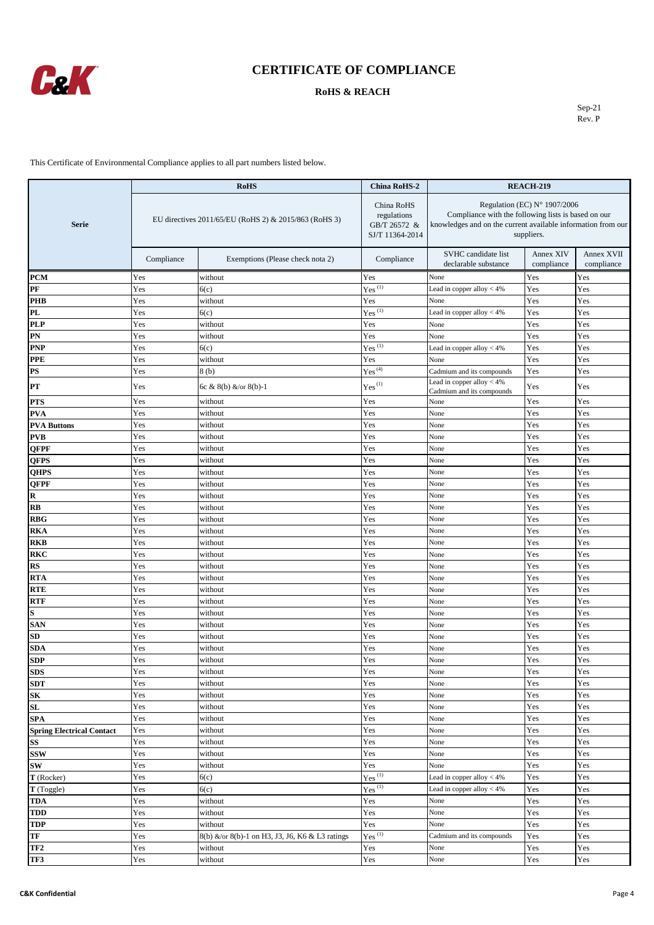

#### **RoHS & REACH**

Sep-21 Rev. P

|                                  | <b>RoHS</b><br><b>China RoHS-2</b>                    |                                                 | <b>REACH-219</b>                                                                      |                                                                                                                                                                            |                         |                          |
|----------------------------------|-------------------------------------------------------|-------------------------------------------------|---------------------------------------------------------------------------------------|----------------------------------------------------------------------------------------------------------------------------------------------------------------------------|-------------------------|--------------------------|
| <b>Serie</b>                     | EU directives 2011/65/EU (RoHS 2) & 2015/863 (RoHS 3) |                                                 | China RoHS<br>regulations<br>GB/T 26572 &<br>SJ/T 11364-2014                          | Regulation (EC) $N^{\circ}$ 1907/2006<br>Compliance with the following lists is based on our<br>knowledges and on the current available information from our<br>suppliers. |                         |                          |
|                                  | Compliance                                            | Exemptions (Please check nota 2)                | Compliance                                                                            | SVHC candidate list<br>declarable substance                                                                                                                                | Annex XIV<br>compliance | Annex XVII<br>compliance |
| <b>PCM</b>                       | Yes                                                   | without                                         | Yes                                                                                   | None                                                                                                                                                                       | Yes                     | Yes                      |
| PF                               | Yes                                                   | 6(c)                                            | $Yes^{(1)}$                                                                           | Lead in copper alloy $<$ 4%                                                                                                                                                | Yes                     | Yes                      |
| PHB                              | Yes                                                   | without                                         | Yes                                                                                   | None                                                                                                                                                                       | Yes                     | Yes                      |
| PL                               | Yes                                                   | 6(c)                                            | $Yes^{(1)}$                                                                           | Lead in copper alloy $<$ 4%                                                                                                                                                | Yes                     | Yes                      |
| <b>PLP</b>                       | Yes                                                   | without                                         | Yes                                                                                   | None                                                                                                                                                                       | Yes                     | Yes                      |
| PN                               | Yes                                                   | without                                         | Yes                                                                                   | None                                                                                                                                                                       | Yes                     | Yes                      |
| <b>PNP</b>                       | Yes                                                   | 6(c)                                            | $Yes$ <sup>(1)</sup>                                                                  | Lead in copper alloy $<$ 4%                                                                                                                                                | Yes                     | Yes                      |
| PPE                              | Yes                                                   | without                                         | Yes                                                                                   | None                                                                                                                                                                       | Yes                     | Yes                      |
| PS                               | Yes                                                   | 8(b)                                            | $Yes^{(4)}$                                                                           | Cadmium and its compounds                                                                                                                                                  | Yes                     | Yes                      |
| PТ                               | Yes                                                   | 6c & 8(b) &/or 8(b)-1                           | Yes <sup>(1)</sup>                                                                    | Lead in copper alloy $<$ 4%<br>Cadmium and its compounds                                                                                                                   | Yes                     | Yes                      |
| <b>PTS</b>                       | Yes                                                   | without                                         | Yes                                                                                   | None                                                                                                                                                                       | Yes                     | Yes                      |
| <b>PVA</b>                       | Yes                                                   | without                                         | Yes                                                                                   | None                                                                                                                                                                       | Yes                     | Yes                      |
| <b>PVA Buttons</b>               | Yes                                                   | without                                         | Yes                                                                                   | None                                                                                                                                                                       | Yes                     | Yes                      |
| <b>PVB</b>                       | Yes                                                   | without                                         | Yes                                                                                   | None                                                                                                                                                                       | Yes                     | Yes                      |
| QFPF                             | Yes                                                   | without                                         | Yes                                                                                   | None                                                                                                                                                                       | Yes                     | Yes                      |
| QFPS                             | Yes                                                   | without                                         | Yes                                                                                   | None                                                                                                                                                                       | Yes                     | Yes                      |
| QHPS                             | Yes                                                   | without                                         | Yes                                                                                   | None                                                                                                                                                                       | Yes                     | Yes                      |
| QFPF                             | Yes                                                   | without                                         | Yes                                                                                   | None                                                                                                                                                                       | Yes                     | Yes                      |
| R                                | Yes                                                   | without                                         | Yes<br>Yes                                                                            | None                                                                                                                                                                       | Yes                     | Yes                      |
| RB<br>RBG                        | Yes<br>Yes                                            | without<br>without                              | Yes                                                                                   | None<br>None                                                                                                                                                               | Yes<br>Yes              | Yes<br>Yes               |
| RKA                              | Yes                                                   | without                                         | Yes                                                                                   | None                                                                                                                                                                       | Yes                     | Yes                      |
| RKB                              | Yes                                                   | without                                         | Yes                                                                                   | None                                                                                                                                                                       | Yes                     | Yes                      |
| RKC                              | Yes                                                   | without                                         | Yes                                                                                   | None                                                                                                                                                                       | Yes                     | Yes                      |
| RS                               | Yes                                                   | without                                         | Yes                                                                                   | None                                                                                                                                                                       | Yes                     | Yes                      |
| RTA                              | Yes                                                   | without                                         | Yes                                                                                   | None                                                                                                                                                                       | Yes                     | Yes                      |
| RTE                              | Yes                                                   | without                                         | Yes                                                                                   | None                                                                                                                                                                       | Yes                     | Yes                      |
| RTF                              | Yes                                                   | without                                         | Yes                                                                                   | None                                                                                                                                                                       | Yes                     | Yes                      |
| S                                | Yes                                                   | without                                         | Yes                                                                                   | None                                                                                                                                                                       | Yes                     | Yes                      |
| SAN                              | Yes                                                   | without                                         | Yes                                                                                   | None                                                                                                                                                                       | Yes                     | Yes                      |
| $_{\rm SD}$                      | Yes                                                   | without                                         | Yes                                                                                   | None                                                                                                                                                                       | Yes                     | Yes                      |
| SDA                              | Yes                                                   | without                                         | Yes                                                                                   | None                                                                                                                                                                       | Yes                     | Yes                      |
| SDP                              | Yes                                                   | without                                         | Yes                                                                                   | None                                                                                                                                                                       | Yes                     | Yes                      |
| <b>SDS</b>                       | res                                                   | without                                         | Yes                                                                                   | None                                                                                                                                                                       | res                     | r es                     |
| SDT                              | Yes                                                   | without                                         | Yes                                                                                   | None                                                                                                                                                                       | Yes                     | Yes                      |
| SK                               | Yes                                                   | without                                         | Yes                                                                                   | None                                                                                                                                                                       | Yes                     | Yes                      |
| SL                               | Yes                                                   | without                                         | Yes                                                                                   | None                                                                                                                                                                       | Yes                     | Yes                      |
| SPA                              | Yes                                                   | without                                         | Yes                                                                                   | None                                                                                                                                                                       | Yes                     | Yes                      |
| <b>Spring Electrical Contact</b> | Yes                                                   | without                                         | Yes                                                                                   | None                                                                                                                                                                       | Yes                     | Yes                      |
| SS                               | Yes                                                   | without                                         | Yes                                                                                   | None                                                                                                                                                                       | Yes                     | Yes                      |
| <b>SSW</b>                       | Yes                                                   | without                                         | Yes                                                                                   | None                                                                                                                                                                       | Yes                     | Yes                      |
| SW                               | Yes                                                   | without                                         | Yes                                                                                   | None                                                                                                                                                                       | Yes                     | Yes                      |
| T (Rocker)                       | Yes                                                   | 6(c)                                            | $Yes$ <sup>(1)</sup>                                                                  | Lead in copper alloy $<$ 4%                                                                                                                                                | Yes                     | Yes                      |
| T (Toggle)                       | Yes                                                   | 6(c)                                            | $Yes$ <sup>(1)</sup>                                                                  | Lead in copper alloy $<$ 4%                                                                                                                                                | Yes                     | Yes                      |
| TDA                              | Yes                                                   | without                                         | Yes                                                                                   | None                                                                                                                                                                       | Yes                     | Yes                      |
| TDD                              | Yes                                                   | without                                         | Yes                                                                                   | None                                                                                                                                                                       | Yes                     | Yes                      |
| TDP                              | Yes                                                   | without                                         | Yes                                                                                   | None                                                                                                                                                                       | Yes                     | Yes                      |
| TF                               | Yes                                                   | 8(b) &/or 8(b)-1 on H3, J3, J6, K6 & L3 ratings | $Yes$ <sup>(1)</sup>                                                                  | Cadmium and its compounds                                                                                                                                                  | Yes                     | Yes                      |
| TF <sub>2</sub>                  | Yes                                                   | without                                         | Yes                                                                                   | None                                                                                                                                                                       | Yes                     | Yes                      |
| TF3                              | Yes                                                   | without                                         | $\operatorname*{Yes}% \left( X\right) \equiv\operatorname*{Yes}(\mathbb{R}^{3}\left)$ | None                                                                                                                                                                       | Yes                     | Yes                      |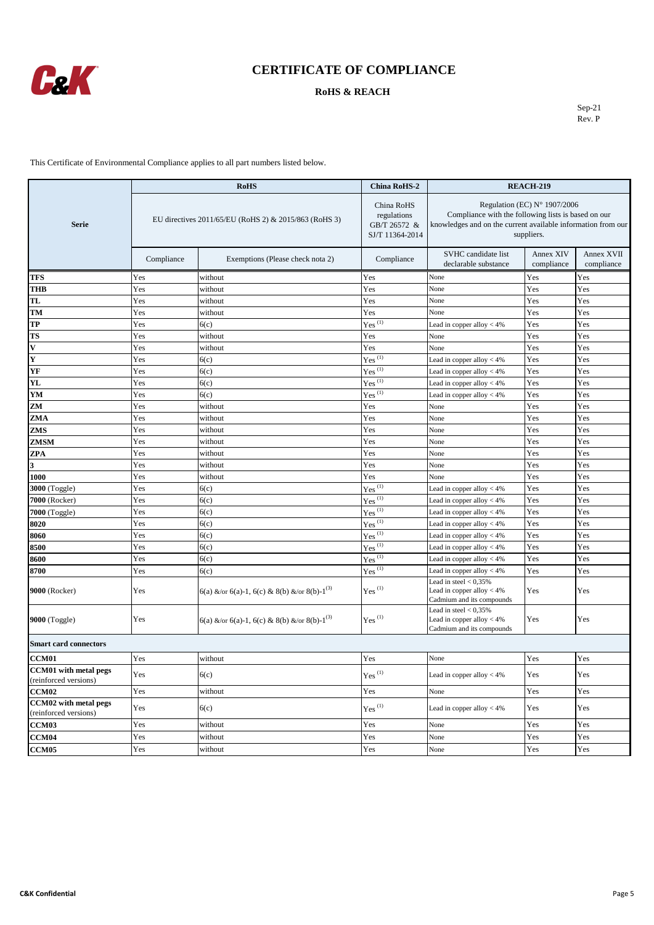

#### **RoHS & REACH**

Sep-21 Rev. P

|                                                       | <b>RoHS</b>                                           |                                                          | <b>China RoHS-2</b>                                          | <b>REACH-219</b>                                                                                                                                                  |                         |                          |
|-------------------------------------------------------|-------------------------------------------------------|----------------------------------------------------------|--------------------------------------------------------------|-------------------------------------------------------------------------------------------------------------------------------------------------------------------|-------------------------|--------------------------|
| <b>Serie</b>                                          | EU directives 2011/65/EU (RoHS 2) & 2015/863 (RoHS 3) |                                                          | China RoHS<br>regulations<br>GB/T 26572 &<br>SJ/T 11364-2014 | Regulation (EC) N° 1907/2006<br>Compliance with the following lists is based on our<br>knowledges and on the current available information from our<br>suppliers. |                         |                          |
|                                                       | Compliance                                            | Exemptions (Please check nota 2)                         | Compliance                                                   | SVHC candidate list<br>declarable substance                                                                                                                       | Annex XIV<br>compliance | Annex XVII<br>compliance |
| <b>TFS</b>                                            | Yes                                                   | without                                                  | Yes                                                          | None                                                                                                                                                              | Yes                     | Yes                      |
| <b>THB</b>                                            | Yes                                                   | without                                                  | Yes                                                          | None                                                                                                                                                              | Yes                     | Yes                      |
| <b>TL</b>                                             | Yes                                                   | without                                                  | Yes                                                          | None                                                                                                                                                              | Yes                     | Yes                      |
| TM                                                    | Yes                                                   | without                                                  | Yes                                                          | None                                                                                                                                                              | Yes                     | Yes                      |
| TP                                                    | Yes                                                   | 6(c)                                                     | Yes $\overline{^{(1)}}$                                      | Lead in copper alloy $<$ 4%                                                                                                                                       | Yes                     | Yes                      |
| <b>TS</b>                                             | Yes                                                   | without                                                  | Yes                                                          | None                                                                                                                                                              | Yes                     | Yes                      |
| $\mathbf{v}$                                          | Yes                                                   | without                                                  | Yes                                                          | None                                                                                                                                                              | Yes                     | Yes                      |
| Y                                                     | Yes                                                   | 6(c)                                                     | $Yes^{(1)}$                                                  | Lead in copper alloy < 4%                                                                                                                                         | Yes                     | Yes                      |
| YF                                                    | Yes                                                   | 6(c)                                                     | $Yes^{(1)}$                                                  | Lead in copper alloy $<$ 4%                                                                                                                                       | Yes                     | Yes                      |
| YL                                                    | Yes                                                   | 6(c)                                                     | $Yes$ <sup>(1)</sup>                                         | Lead in copper alloy $<$ 4%                                                                                                                                       | Yes                     | Yes                      |
| YM                                                    | Yes                                                   | 6(c)                                                     | $Yes$ <sup>(1)</sup>                                         | Lead in copper alloy $<$ 4%                                                                                                                                       | Yes                     | Yes                      |
| ZM                                                    | Yes                                                   | without                                                  | Yes                                                          | None                                                                                                                                                              | Yes                     | Yes                      |
| ZMA                                                   | Yes                                                   | without                                                  | Yes                                                          | None                                                                                                                                                              | Yes                     | Yes                      |
| ZMS                                                   | Yes                                                   | without                                                  | Yes                                                          | None                                                                                                                                                              | Yes                     | Yes                      |
| <b>ZMSM</b>                                           | Yes                                                   | without                                                  | Yes                                                          | None                                                                                                                                                              | Yes                     | Yes                      |
| <b>ZPA</b>                                            | Yes                                                   | without                                                  | Yes                                                          | None                                                                                                                                                              | Yes                     | Yes                      |
| 3                                                     | Yes                                                   | without                                                  | Yes                                                          | None                                                                                                                                                              | Yes                     | Yes                      |
| 1000                                                  | Yes                                                   | without                                                  | Yes                                                          | None                                                                                                                                                              | Yes                     | Yes                      |
| <b>3000</b> (Toggle)                                  | Yes                                                   | 6(c)                                                     | $Yes$ <sup>(1)</sup>                                         | Lead in copper alloy $<$ 4%                                                                                                                                       | Yes                     | Yes                      |
| 7000 (Rocker)                                         | Yes                                                   | 6(c)                                                     | $Yes^{(1)}$                                                  | Lead in copper alloy < 4%                                                                                                                                         | Yes                     | Yes                      |
| 7000 (Toggle)                                         | Yes                                                   | 6(c)                                                     | $Yes$ <sup>(1)</sup>                                         | Lead in copper alloy $<$ 4%                                                                                                                                       | Yes                     | Yes                      |
| 8020                                                  | Yes                                                   | 6(c)                                                     | $Yes$ <sup>(1)</sup>                                         | Lead in copper alloy $<$ 4%                                                                                                                                       | Yes                     | Yes                      |
| 8060                                                  | Yes                                                   | 6(c)                                                     | $Yes$ <sup>(1)</sup>                                         | Lead in copper alloy $<$ 4%                                                                                                                                       | Yes                     | Yes                      |
| 8500                                                  | Yes                                                   | 6(c)                                                     | $Yes^{(1)}$                                                  | Lead in copper alloy $<$ 4%                                                                                                                                       | Yes                     | Yes                      |
| 8600                                                  | Yes                                                   | 6(c)                                                     | $Yes$ <sup>(1)</sup>                                         | Lead in copper alloy < 4%                                                                                                                                         | Yes                     | Yes                      |
| 8700                                                  | Yes                                                   | 6(c)                                                     | $Yes$ <sup>(1)</sup>                                         | Lead in copper alloy $<$ 4%                                                                                                                                       | Yes                     | Yes                      |
| 9000 (Rocker)                                         | Yes                                                   | 6(a) &/or 6(a)-1, 6(c) & 8(b) &/or 8(b)-1 <sup>(3)</sup> | $\mathrm{Yes}^{(1)}$                                         | Lead in steel $< 0.35\%$<br>Lead in copper alloy $<$ 4%<br>Cadmium and its compounds                                                                              | Yes                     | Yes                      |
| <b>9000</b> (Toggle)                                  | Yes                                                   | 6(a) &/or 6(a)-1, 6(c) & 8(b) &/or 8(b)-1 <sup>(3)</sup> | $Yes$ <sup>(1)</sup>                                         | Lead in steel $< 0.35\%$<br>Lead in copper alloy $<$ 4%<br>Cadmium and its compounds                                                                              | Yes                     | Yes                      |
| <b>Smart card connectors</b>                          |                                                       |                                                          |                                                              |                                                                                                                                                                   |                         |                          |
| <b>CCM01</b>                                          | Yes                                                   | without                                                  | Yes                                                          | None                                                                                                                                                              | Yes                     | Yes                      |
| <b>CCM01</b> with metal pegs<br>(reinforced versions) | Yes                                                   | 6(c)                                                     | $Yes$ <sup>(1)</sup>                                         | Lead in copper alloy $<$ 4%                                                                                                                                       | Yes                     | Yes                      |
| CCM <sub>02</sub>                                     | Yes                                                   | without                                                  | Yes                                                          | None                                                                                                                                                              | Yes                     | Yes                      |
| CCM02 with metal pegs<br>(reinforced versions)        | Yes                                                   | 6(c)                                                     | $Yes$ <sup>(1)</sup>                                         | Lead in copper alloy $<$ 4%                                                                                                                                       | Yes                     | Yes                      |
| <b>CCM03</b>                                          | Yes                                                   | without                                                  | Yes                                                          | None                                                                                                                                                              | Yes                     | Yes                      |
| CCM04                                                 | Yes                                                   | without                                                  | Yes                                                          | None                                                                                                                                                              | Yes                     | Yes                      |
| CCM <sub>05</sub>                                     | Yes                                                   | without                                                  | Yes                                                          | None                                                                                                                                                              | Yes                     | Yes                      |